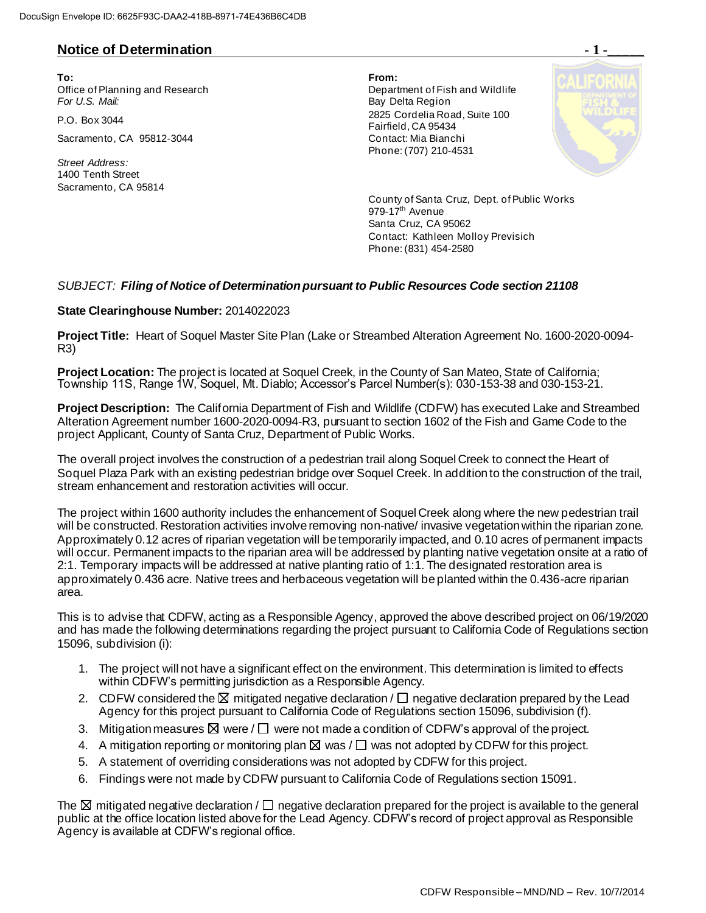## **Notice of Determination**  $\cdot$  **1 -**

**To: From:**  Office of Planning and Research Department of Fish and Wildlife<br>
For U.S. Mail: Department of Fish and Wildlife

Sacramento, CA 95812-3044 Contact: Mia Bianchi

*Street Address:* 1400 Tenth Street Sacramento, CA 95814

**Bay Delta Region** P.O. Box 3044 2825 Cordelia Road, Suite 100 Fairfield, CA 95434 Phone: (707) 210-4531



County of Santa Cruz, Dept. of Public Works  $979-17$ <sup>th</sup> Avenue Santa Cruz, CA 95062 Contact: Kathleen Molloy Previsich Phone: (831) 454-2580

## *SUBJECT: Filing of Notice of Determination pursuant to Public Resources Code section 21108*

## **State Clearinghouse Number:** 2014022023

**Project Title:** Heart of Soquel Master Site Plan (Lake or Streambed Alteration Agreement No. 1600-2020-0094- R3)

**Project Location:** The project is located at Soquel Creek, in the County of San Mateo, State of California; Township 11S, Range 1W, Soquel, Mt. Diablo; Accessor's Parcel Number(s): 030-153-38 and 030-153-21.

**Project Description:** The California Department of Fish and Wildlife (CDFW) has executed Lake and Streambed Alteration Agreement number 1600-2020-0094-R3, pursuant to section 1602 of the Fish and Game Code to the project Applicant, County of Santa Cruz, Department of Public Works.

The overall project involves the construction of a pedestrian trail along Soquel Creek to connect the Heart of Soquel Plaza Park with an existing pedestrian bridge over Soquel Creek. In addition to the construction of the trail, stream enhancement and restoration activities will occur.

The project within 1600 authority includes the enhancement of Soquel Creek along where the new pedestrian trail will be constructed. Restoration activities involve removing non-native/ invasive vegetation within the riparian zone. Approximately 0.12 acres of riparian vegetation will be temporarily impacted, and 0.10 acres of permanent impacts will occur. Permanent impacts to the riparian area will be addressed by planting native vegetation onsite at a ratio of 2:1. Temporary impacts will be addressed at native planting ratio of 1:1. The designated restoration area is approximately 0.436 acre. Native trees and herbaceous vegetation will be planted within the 0.436-acre riparian area.

This is to advise that CDFW, acting as a Responsible Agency, approved the above described project on 06/19/2020 and has made the following determinations regarding the project pursuant to California Code of Regulations section 15096, subdivision (i):

- 1. The project will not have a significant effect on the environment. This determination is limited to effects within CDFW's permitting jurisdiction as a Responsible Agency.
- 2. CDFW considered the  $\boxtimes$  mitigated negative declaration /  $\Box$  negative declaration prepared by the Lead Agency for this project pursuant to California Code of Regulations section 15096, subdivision (f).
- 3. Mitigation measures  $\boxtimes$  were /  $\square$  were not made a condition of CDFW's approval of the project.
- 4. A mitigation reporting or monitoring plan  $\boxtimes$  was  $/\Box$  was not adopted by CDFW for this project.
- 5. A statement of overriding considerations was not adopted by CDFW for this project.
- 6. Findings were not made by CDFW pursuant to California Code of Regulations section 15091.

The  $\boxtimes$  mitigated negative declaration /  $\Box$  negative declaration prepared for the project is available to the general public at the office location listed above for the Lead Agency. CDFW's record of project approval as Responsible Agency is available at CDFW's regional office.